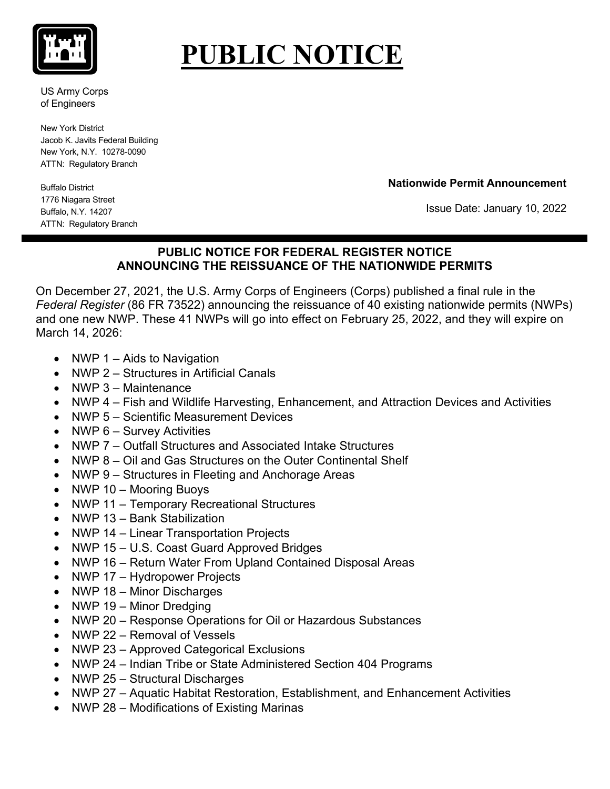

## **PUBLIC NOTICE**

US Army Corps of Engineers

New York District Jacob K. Javits Federal Building New York, N.Y. 10278-0090 ATTN: Regulatory Branch

**Nationwide Permit Announcement**

Buffalo District 1776 Niagara Street Buffalo, N.Y. 14207 ATTN: Regulatory Branch

Issue Date: January 10, 2022

## **PUBLIC NOTICE FOR FEDERAL REGISTER NOTICE ANNOUNCING THE REISSUANCE OF THE NATIONWIDE PERMITS**

On December 27, 2021, the U.S. Army Corps of Engineers (Corps) published a final rule in the *Federal Register* (86 FR 73522) announcing the reissuance of 40 existing nationwide permits (NWPs) and one new NWP. These 41 NWPs will go into effect on February 25, 2022, and they will expire on March 14, 2026:

- NWP 1 Aids to Navigation
- NWP 2 Structures in Artificial Canals
- NWP 3 Maintenance
- NWP 4 Fish and Wildlife Harvesting, Enhancement, and Attraction Devices and Activities
- NWP 5 Scientific Measurement Devices
- NWP 6 Survey Activities
- NWP 7 Outfall Structures and Associated Intake Structures
- NWP 8 Oil and Gas Structures on the Outer Continental Shelf
- NWP 9 Structures in Fleeting and Anchorage Areas
- NWP 10 Mooring Buoys
- NWP 11 Temporary Recreational Structures
- NWP 13 Bank Stabilization
- NWP 14 Linear Transportation Projects
- NWP 15 U.S. Coast Guard Approved Bridges
- NWP 16 Return Water From Upland Contained Disposal Areas
- NWP 17 Hydropower Projects
- NWP 18 Minor Discharges
- NWP 19 Minor Dredging
- NWP 20 Response Operations for Oil or Hazardous Substances
- NWP 22 Removal of Vessels
- NWP 23 Approved Categorical Exclusions
- NWP 24 Indian Tribe or State Administered Section 404 Programs
- NWP 25 Structural Discharges
- NWP 27 Aquatic Habitat Restoration, Establishment, and Enhancement Activities
- NWP 28 Modifications of Existing Marinas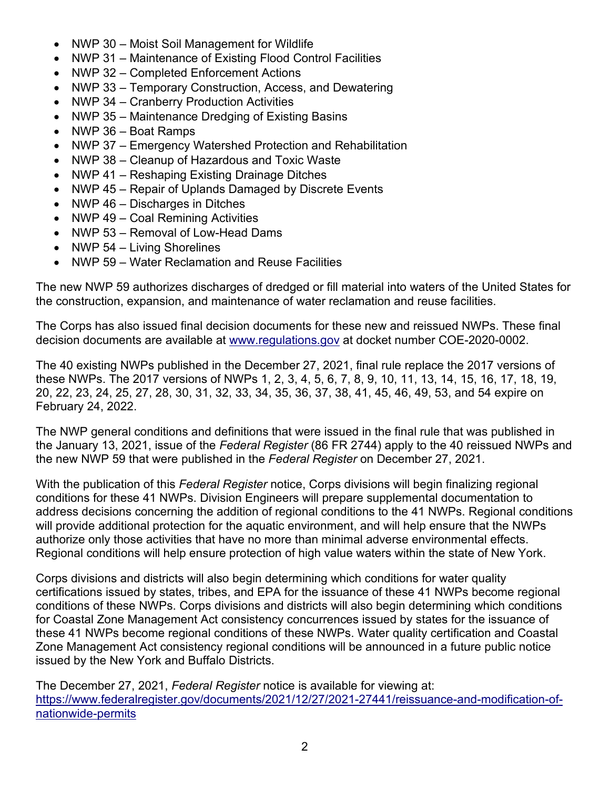- NWP 30 Moist Soil Management for Wildlife
- NWP 31 Maintenance of Existing Flood Control Facilities
- NWP 32 Completed Enforcement Actions
- NWP 33 Temporary Construction, Access, and Dewatering
- NWP 34 Cranberry Production Activities
- NWP 35 Maintenance Dredging of Existing Basins
- NWP 36 Boat Ramps
- NWP 37 Emergency Watershed Protection and Rehabilitation
- NWP 38 Cleanup of Hazardous and Toxic Waste
- NWP 41 Reshaping Existing Drainage Ditches
- NWP 45 Repair of Uplands Damaged by Discrete Events
- NWP 46 Discharges in Ditches
- NWP 49 Coal Remining Activities
- NWP 53 Removal of Low-Head Dams
- NWP 54 Living Shorelines
- NWP 59 Water Reclamation and Reuse Facilities

The new NWP 59 authorizes discharges of dredged or fill material into waters of the United States for the construction, expansion, and maintenance of water reclamation and reuse facilities.

The Corps has also issued final decision documents for these new and reissued NWPs. These final decision documents are available at [www.regulations.gov](http://www.regulations.gov/) at docket number COE-2020-0002.

The 40 existing NWPs published in the December 27, 2021, final rule replace the 2017 versions of these NWPs. The 2017 versions of NWPs 1, 2, 3, 4, 5, 6, 7, 8, 9, 10, 11, 13, 14, 15, 16, 17, 18, 19, 20, 22, 23, 24, 25, 27, 28, 30, 31, 32, 33, 34, 35, 36, 37, 38, 41, 45, 46, 49, 53, and 54 expire on February 24, 2022.

The NWP general conditions and definitions that were issued in the final rule that was published in the January 13, 2021, issue of the *Federal Register* (86 FR 2744) apply to the 40 reissued NWPs and the new NWP 59 that were published in the *Federal Register* on December 27, 2021.

With the publication of this *Federal Register* notice, Corps divisions will begin finalizing regional conditions for these 41 NWPs. Division Engineers will prepare supplemental documentation to address decisions concerning the addition of regional conditions to the 41 NWPs. Regional conditions will provide additional protection for the aquatic environment, and will help ensure that the NWPs authorize only those activities that have no more than minimal adverse environmental effects. Regional conditions will help ensure protection of high value waters within the state of New York.

Corps divisions and districts will also begin determining which conditions for water quality certifications issued by states, tribes, and EPA for the issuance of these 41 NWPs become regional conditions of these NWPs. Corps divisions and districts will also begin determining which conditions for Coastal Zone Management Act consistency concurrences issued by states for the issuance of these 41 NWPs become regional conditions of these NWPs. Water quality certification and Coastal Zone Management Act consistency regional conditions will be announced in a future public notice issued by the New York and Buffalo Districts.

The December 27, 2021, *Federal Register* notice is available for viewing at: [https://www.federalregister.gov/documents/2021/12/27/2021-27441/reissuance-and-modification-of](https://www.federalregister.gov/documents/2021/12/27/2021-27441/reissuance-and-modification-of-nationwide-permits)[nationwide-permits](https://www.federalregister.gov/documents/2021/12/27/2021-27441/reissuance-and-modification-of-nationwide-permits)